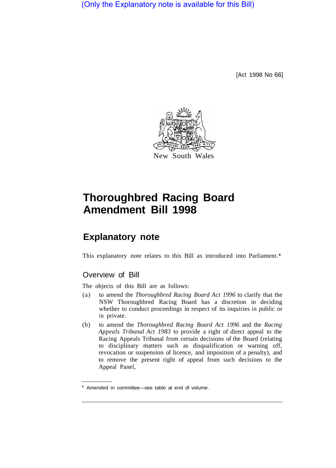(Only the Explanatory note is available for this Bill)

[Act 1998 No 66]



# **Thoroughbred Racing Board Amendment Bill 1998**

## **Explanatory note**

This explanatory note relates to this Bill as introduced into Parliament.\*

### Overview of Bill

The objects of this Bill are as follows:

- (a) to amend the *Thoroughbred Racing Board Act 1996* to clarify that the NSW Thoroughbred Racing Board has a discretion in deciding whether to conduct proceedings in respect of its inquiries in public or in private.
- (b) to amend the *Thoroughbred Racing Board Act 1996* and the *Racing Appeals Tribunal Act 1983* to provide a right of direct appeal to the Racing Appeals Tribunal from certain decisions of the Board (relating to disciplinary matters such as disqualification or warning off, revocation or suspension of licence, and imposition of a penalty), and to remove the present right of appeal from such decisions to the Appeal Panel,

Amended in committee—see table at end of volume.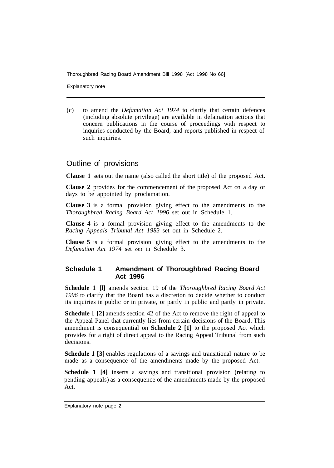Thoroughbred Racing Board Amendment Bill 1998 [Act 1998 No 66]

Explanatory note

(c) to amend the *Defamation Act 1974* to clarify that certain defences (including absolute privilege) are available in defamation actions that concern publications in the course of proceedings with respect to inquiries conducted by the Board, and reports published in respect of such inquiries.

#### Outline of provisions

**Clause 1** sets out the name (also called the short title) of the proposed Act.

**Clause 2** provides for the commencement of the proposed Act on a day or days to be appointed by proclamation.

**Clause 3** is a formal provision giving effect to the amendments to the *Thoroughbred Racing Board Act 1996* set out in Schedule 1.

**Clause 4** is a formal provision giving effect to the amendments to the *Racing Appeals Tribunal Act 1983* set out in Schedule 2.

**Clause 5** is a formal provision giving effect to the amendments to the *Defamation Act 1974* set out in Schedule 3.

#### **Schedule 1 Amendment of Thoroughbred Racing Board Act 1996**

**Schedule 1 [l]** amends section 19 of the *Thoroughbred Racing Board Act 1996* to clarify that the Board has a discretion to decide whether to conduct its inquiries in public or in private, or partly in public and partly in private.

**Schedule 1 [2]** amends section 42 of the Act to remove the right of appeal to the Appeal Panel that currently lies from certain decisions of the Board. This amendment is consequential on **Schedule 2 [1]** to the proposed Act which provides for a right of direct appeal to the Racing Appeal Tribunal from such decisions.

**Schedule 1 [3]** enables regulations of a savings and transitional nature to be made as a consequence of the amendments made by the proposed Act.

**Schedule 1 [4]** inserts a savings and transitional provision (relating to pending appeals) as a consequence of the amendments made by the proposed Act.